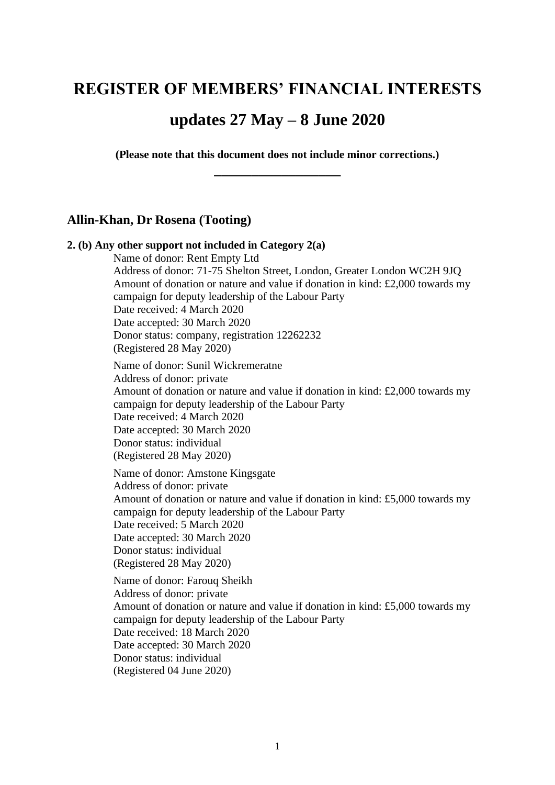# **REGISTER OF MEMBERS' FINANCIAL INTERESTS**

# **updates 27 May – 8 June 2020**

**(Please note that this document does not include minor corrections.) \_\_\_\_\_\_\_\_\_\_\_\_\_\_\_\_\_**

### **Allin-Khan, Dr Rosena (Tooting)**

# **2. (b) Any other support not included in Category 2(a)** Name of donor: Rent Empty Ltd Address of donor: 71-75 Shelton Street, London, Greater London WC2H 9JQ Amount of donation or nature and value if donation in kind: £2,000 towards my campaign for deputy leadership of the Labour Party Date received: 4 March 2020 Date accepted: 30 March 2020 Donor status: company, registration 12262232 (Registered 28 May 2020) Name of donor: Sunil Wickremeratne Address of donor: private Amount of donation or nature and value if donation in kind: £2,000 towards my campaign for deputy leadership of the Labour Party Date received: 4 March 2020 Date accepted: 30 March 2020 Donor status: individual (Registered 28 May 2020) Name of donor: Amstone Kingsgate Address of donor: private Amount of donation or nature and value if donation in kind: £5,000 towards my campaign for deputy leadership of the Labour Party Date received: 5 March 2020 Date accepted: 30 March 2020 Donor status: individual (Registered 28 May 2020) Name of donor: Farouq Sheikh Address of donor: private Amount of donation or nature and value if donation in kind: £5,000 towards my campaign for deputy leadership of the Labour Party Date received: 18 March 2020 Date accepted: 30 March 2020 Donor status: individual (Registered 04 June 2020)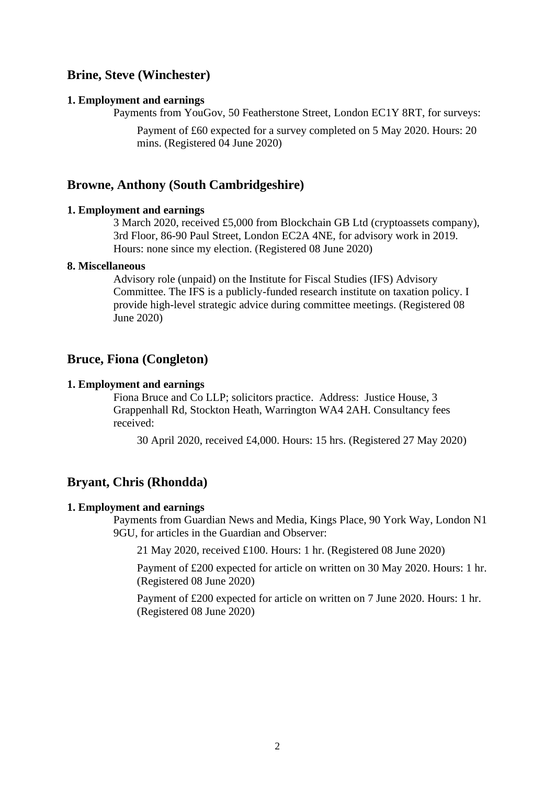# **Brine, Steve (Winchester)**

#### **1. Employment and earnings**

Payments from YouGov, 50 Featherstone Street, London EC1Y 8RT, for surveys:

Payment of £60 expected for a survey completed on 5 May 2020. Hours: 20 mins. (Registered 04 June 2020)

### **Browne, Anthony (South Cambridgeshire)**

### **1. Employment and earnings**

3 March 2020, received £5,000 from Blockchain GB Ltd (cryptoassets company), 3rd Floor, 86-90 Paul Street, London EC2A 4NE, for advisory work in 2019. Hours: none since my election. (Registered 08 June 2020)

#### **8. Miscellaneous**

Advisory role (unpaid) on the Institute for Fiscal Studies (IFS) Advisory Committee. The IFS is a publicly-funded research institute on taxation policy. I provide high-level strategic advice during committee meetings. (Registered 08 June 2020)

### **Bruce, Fiona (Congleton)**

#### **1. Employment and earnings**

Fiona Bruce and Co LLP; solicitors practice. Address: Justice House, 3 Grappenhall Rd, Stockton Heath, Warrington WA4 2AH. Consultancy fees received:

30 April 2020, received £4,000. Hours: 15 hrs. (Registered 27 May 2020)

### **Bryant, Chris (Rhondda)**

#### **1. Employment and earnings**

Payments from Guardian News and Media, Kings Place, 90 York Way, London N1 9GU, for articles in the Guardian and Observer:

21 May 2020, received £100. Hours: 1 hr. (Registered 08 June 2020)

Payment of £200 expected for article on written on 30 May 2020. Hours: 1 hr. (Registered 08 June 2020)

Payment of £200 expected for article on written on 7 June 2020. Hours: 1 hr. (Registered 08 June 2020)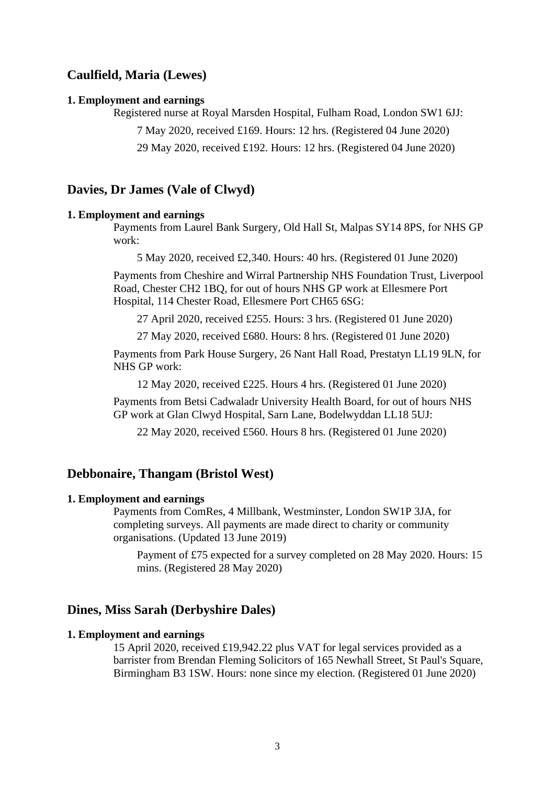# **Caulfield, Maria (Lewes)**

#### **1. Employment and earnings**

Registered nurse at Royal Marsden Hospital, Fulham Road, London SW1 6JJ:

7 May 2020, received £169. Hours: 12 hrs. (Registered 04 June 2020)

29 May 2020, received £192. Hours: 12 hrs. (Registered 04 June 2020)

### **Davies, Dr James (Vale of Clwyd)**

#### **1. Employment and earnings**

Payments from Laurel Bank Surgery, Old Hall St, Malpas SY14 8PS, for NHS GP work:

5 May 2020, received £2,340. Hours: 40 hrs. (Registered 01 June 2020)

Payments from Cheshire and Wirral Partnership NHS Foundation Trust, Liverpool Road, Chester CH2 1BQ, for out of hours NHS GP work at Ellesmere Port Hospital, 114 Chester Road, Ellesmere Port CH65 6SG:

27 April 2020, received £255. Hours: 3 hrs. (Registered 01 June 2020)

27 May 2020, received £680. Hours: 8 hrs. (Registered 01 June 2020)

Payments from Park House Surgery, 26 Nant Hall Road, Prestatyn LL19 9LN, for NHS GP work:

12 May 2020, received £225. Hours 4 hrs. (Registered 01 June 2020)

Payments from Betsi Cadwaladr University Health Board, for out of hours NHS GP work at Glan Clwyd Hospital, Sarn Lane, Bodelwyddan LL18 5UJ:

22 May 2020, received £560. Hours 8 hrs. (Registered 01 June 2020)

# **Debbonaire, Thangam (Bristol West)**

#### **1. Employment and earnings**

Payments from ComRes, 4 Millbank, Westminster, London SW1P 3JA, for completing surveys. All payments are made direct to charity or community organisations. (Updated 13 June 2019)

Payment of £75 expected for a survey completed on 28 May 2020. Hours: 15 mins. (Registered 28 May 2020)

### **Dines, Miss Sarah (Derbyshire Dales)**

### **1. Employment and earnings**

15 April 2020, received £19,942.22 plus VAT for legal services provided as a barrister from Brendan Fleming Solicitors of 165 Newhall Street, St Paul's Square, Birmingham B3 1SW. Hours: none since my election. (Registered 01 June 2020)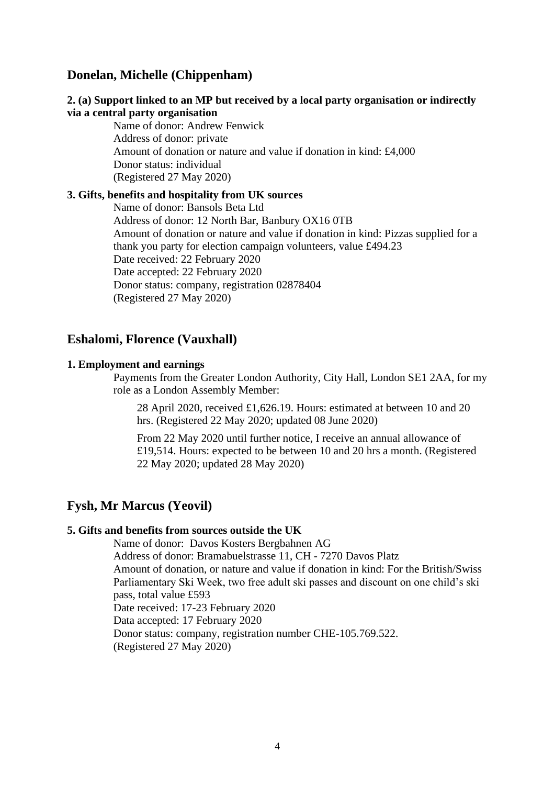# **Donelan, Michelle (Chippenham)**

### **2. (a) Support linked to an MP but received by a local party organisation or indirectly via a central party organisation**

Name of donor: Andrew Fenwick Address of donor: private Amount of donation or nature and value if donation in kind: £4,000 Donor status: individual (Registered 27 May 2020)

#### **3. Gifts, benefits and hospitality from UK sources**

Name of donor: Bansols Beta Ltd Address of donor: 12 North Bar, Banbury OX16 0TB Amount of donation or nature and value if donation in kind: Pizzas supplied for a thank you party for election campaign volunteers, value £494.23 Date received: 22 February 2020 Date accepted: 22 February 2020 Donor status: company, registration 02878404 (Registered 27 May 2020)

### **Eshalomi, Florence (Vauxhall)**

#### **1. Employment and earnings**

Payments from the Greater London Authority, City Hall, London SE1 2AA, for my role as a London Assembly Member:

28 April 2020, received £1,626.19. Hours: estimated at between 10 and 20 hrs. (Registered 22 May 2020; updated 08 June 2020)

From 22 May 2020 until further notice, I receive an annual allowance of £19,514. Hours: expected to be between 10 and 20 hrs a month. (Registered 22 May 2020; updated 28 May 2020)

# **Fysh, Mr Marcus (Yeovil)**

#### **5. Gifts and benefits from sources outside the UK**

Name of donor: Davos Kosters Bergbahnen AG Address of donor: Bramabuelstrasse 11, CH - 7270 Davos Platz Amount of donation, or nature and value if donation in kind: For the British/Swiss Parliamentary Ski Week, two free adult ski passes and discount on one child's ski pass, total value £593 Date received: 17-23 February 2020 Data accepted: 17 February 2020 Donor status: company, registration number CHE-105.769.522. (Registered 27 May 2020)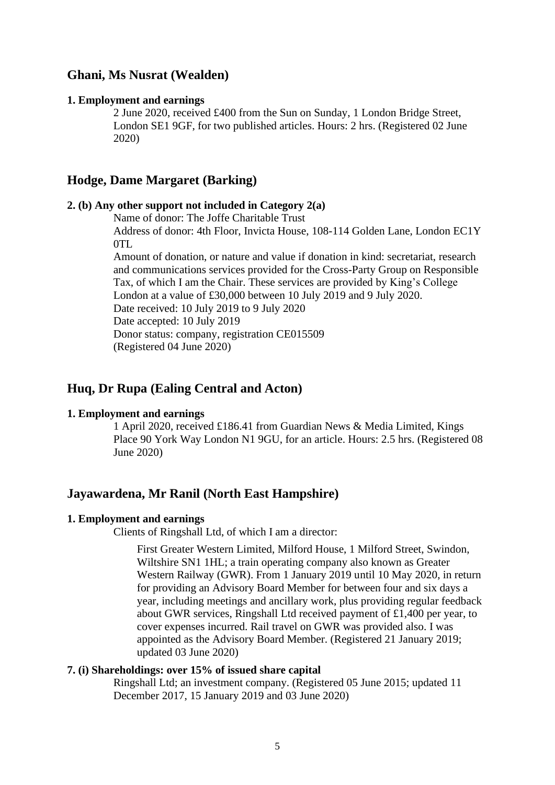# **Ghani, Ms Nusrat (Wealden)**

#### **1. Employment and earnings**

2 June 2020, received £400 from the Sun on Sunday, 1 London Bridge Street, London SE1 9GF, for two published articles. Hours: 2 hrs. (Registered 02 June 2020)

# **Hodge, Dame Margaret (Barking)**

#### **2. (b) Any other support not included in Category 2(a)**

Name of donor: The Joffe Charitable Trust

Address of donor: 4th Floor, Invicta House, 108-114 Golden Lane, London EC1Y OTL.

Amount of donation, or nature and value if donation in kind: secretariat, research and communications services provided for the Cross-Party Group on Responsible Tax, of which I am the Chair. These services are provided by King's College London at a value of £30,000 between 10 July 2019 and 9 July 2020. Date received: 10 July 2019 to 9 July 2020 Date accepted: 10 July 2019 Donor status: company, registration CE015509 (Registered 04 June 2020)

### **Huq, Dr Rupa (Ealing Central and Acton)**

#### **1. Employment and earnings**

1 April 2020, received £186.41 from Guardian News & Media Limited, Kings Place 90 York Way London N1 9GU, for an article. Hours: 2.5 hrs. (Registered 08 June 2020)

### **Jayawardena, Mr Ranil (North East Hampshire)**

#### **1. Employment and earnings**

Clients of Ringshall Ltd, of which I am a director:

First Greater Western Limited, Milford House, 1 Milford Street, Swindon, Wiltshire SN1 1HL; a train operating company also known as Greater Western Railway (GWR). From 1 January 2019 until 10 May 2020, in return for providing an Advisory Board Member for between four and six days a year, including meetings and ancillary work, plus providing regular feedback about GWR services, Ringshall Ltd received payment of £1,400 per year, to cover expenses incurred. Rail travel on GWR was provided also. I was appointed as the Advisory Board Member. (Registered 21 January 2019; updated 03 June 2020)

### **7. (i) Shareholdings: over 15% of issued share capital**

Ringshall Ltd; an investment company. (Registered 05 June 2015; updated 11 December 2017, 15 January 2019 and 03 June 2020)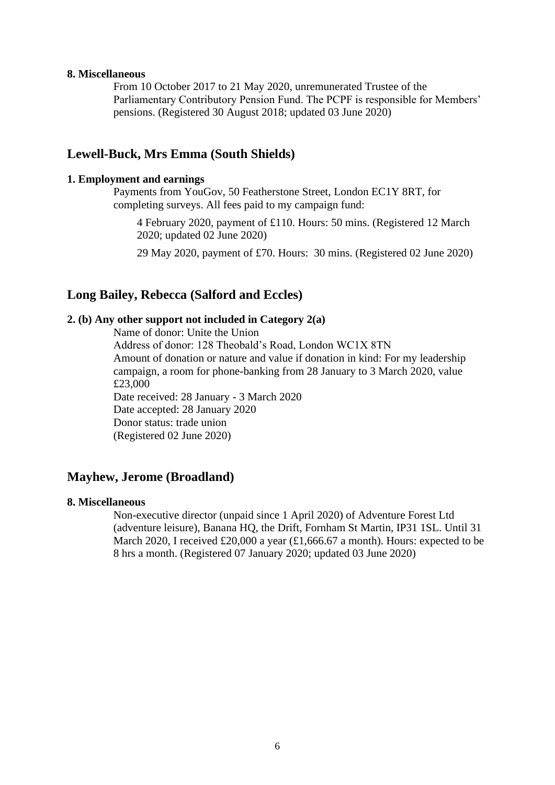#### **8. Miscellaneous**

From 10 October 2017 to 21 May 2020, unremunerated Trustee of the Parliamentary Contributory Pension Fund. The PCPF is responsible for Members' pensions. (Registered 30 August 2018; updated 03 June 2020)

### **Lewell-Buck, Mrs Emma (South Shields)**

### **1. Employment and earnings**

Payments from YouGov, 50 Featherstone Street, London EC1Y 8RT, for completing surveys. All fees paid to my campaign fund:

4 February 2020, payment of £110. Hours: 50 mins. (Registered 12 March 2020; updated 02 June 2020)

29 May 2020, payment of £70. Hours: 30 mins. (Registered 02 June 2020)

# **Long Bailey, Rebecca (Salford and Eccles)**

#### **2. (b) Any other support not included in Category 2(a)**

Name of donor: Unite the Union

Address of donor: 128 Theobald's Road, London WC1X 8TN Amount of donation or nature and value if donation in kind: For my leadership campaign, a room for phone-banking from 28 January to 3 March 2020, value £23,000 Date received: 28 January - 3 March 2020 Date accepted: 28 January 2020 Donor status: trade union

(Registered 02 June 2020)

### **Mayhew, Jerome (Broadland)**

#### **8. Miscellaneous**

Non-executive director (unpaid since 1 April 2020) of Adventure Forest Ltd (adventure leisure), Banana HQ, the Drift, Fornham St Martin, IP31 1SL. Until 31 March 2020, I received £20,000 a year (£1,666.67 a month). Hours: expected to be 8 hrs a month. (Registered 07 January 2020; updated 03 June 2020)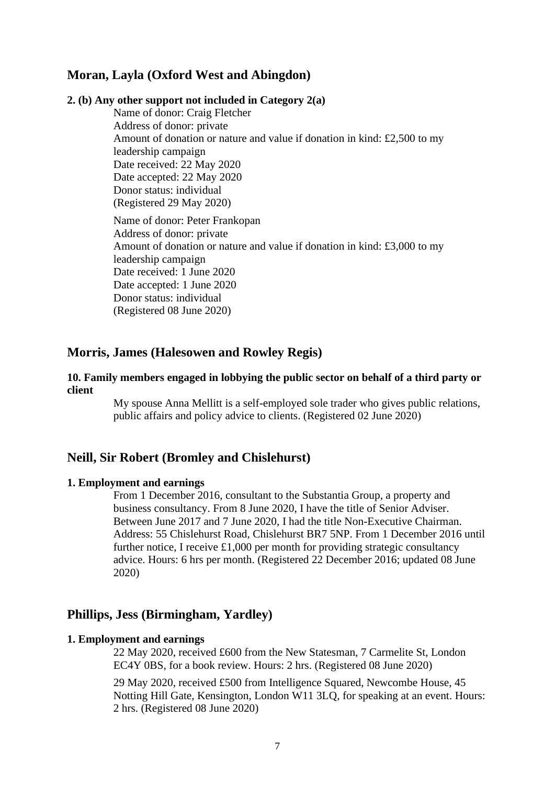# **Moran, Layla (Oxford West and Abingdon)**

### **2. (b) Any other support not included in Category 2(a)**

Name of donor: Craig Fletcher Address of donor: private Amount of donation or nature and value if donation in kind: £2,500 to my leadership campaign Date received: 22 May 2020 Date accepted: 22 May 2020 Donor status: individual (Registered 29 May 2020) Name of donor: Peter Frankopan Address of donor: private Amount of donation or nature and value if donation in kind: £3,000 to my leadership campaign Date received: 1 June 2020 Date accepted: 1 June 2020 Donor status: individual (Registered 08 June 2020)

# **Morris, James (Halesowen and Rowley Regis)**

#### **10. Family members engaged in lobbying the public sector on behalf of a third party or client**

My spouse Anna Mellitt is a self-employed sole trader who gives public relations, public affairs and policy advice to clients. (Registered 02 June 2020)

### **Neill, Sir Robert (Bromley and Chislehurst)**

#### **1. Employment and earnings**

From 1 December 2016, consultant to the Substantia Group, a property and business consultancy. From 8 June 2020, I have the title of Senior Adviser. Between June 2017 and 7 June 2020, I had the title Non-Executive Chairman. Address: 55 Chislehurst Road, Chislehurst BR7 5NP. From 1 December 2016 until further notice, I receive £1,000 per month for providing strategic consultancy advice. Hours: 6 hrs per month. (Registered 22 December 2016; updated 08 June 2020)

#### **Phillips, Jess (Birmingham, Yardley)**

#### **1. Employment and earnings**

22 May 2020, received £600 from the New Statesman, 7 Carmelite St, London EC4Y 0BS, for a book review. Hours: 2 hrs. (Registered 08 June 2020)

29 May 2020, received £500 from Intelligence Squared, Newcombe House, 45 Notting Hill Gate, Kensington, London W11 3LQ, for speaking at an event. Hours: 2 hrs. (Registered 08 June 2020)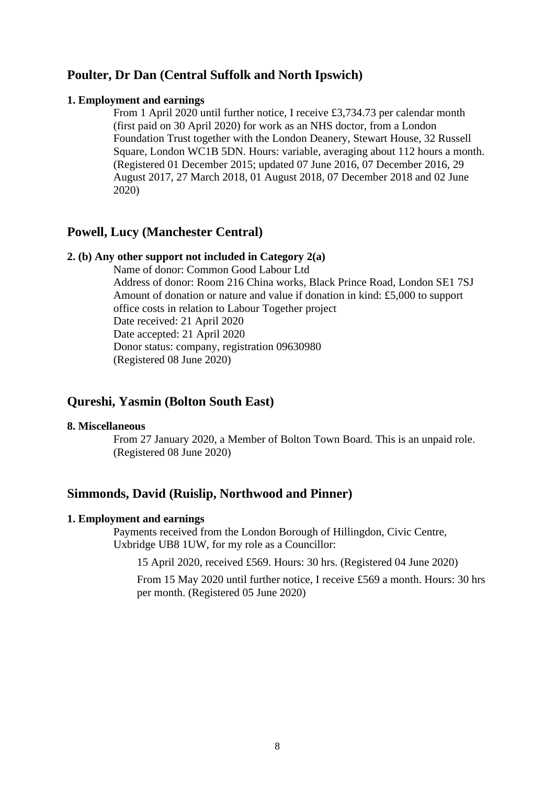# **Poulter, Dr Dan (Central Suffolk and North Ipswich)**

#### **1. Employment and earnings**

From 1 April 2020 until further notice, I receive £3,734.73 per calendar month (first paid on 30 April 2020) for work as an NHS doctor, from a London Foundation Trust together with the London Deanery, Stewart House, 32 Russell Square, London WC1B 5DN. Hours: variable, averaging about 112 hours a month. (Registered 01 December 2015; updated 07 June 2016, 07 December 2016, 29 August 2017, 27 March 2018, 01 August 2018, 07 December 2018 and 02 June 2020)

# **Powell, Lucy (Manchester Central)**

### **2. (b) Any other support not included in Category 2(a)**

Name of donor: Common Good Labour Ltd Address of donor: Room 216 China works, Black Prince Road, London SE1 7SJ Amount of donation or nature and value if donation in kind: £5,000 to support office costs in relation to Labour Together project Date received: 21 April 2020 Date accepted: 21 April 2020 Donor status: company, registration 09630980 (Registered 08 June 2020)

# **Qureshi, Yasmin (Bolton South East)**

#### **8. Miscellaneous**

From 27 January 2020, a Member of Bolton Town Board. This is an unpaid role. (Registered 08 June 2020)

# **Simmonds, David (Ruislip, Northwood and Pinner)**

#### **1. Employment and earnings**

Payments received from the London Borough of Hillingdon, Civic Centre, Uxbridge UB8 1UW, for my role as a Councillor:

15 April 2020, received £569. Hours: 30 hrs. (Registered 04 June 2020)

From 15 May 2020 until further notice, I receive £569 a month. Hours: 30 hrs per month. (Registered 05 June 2020)